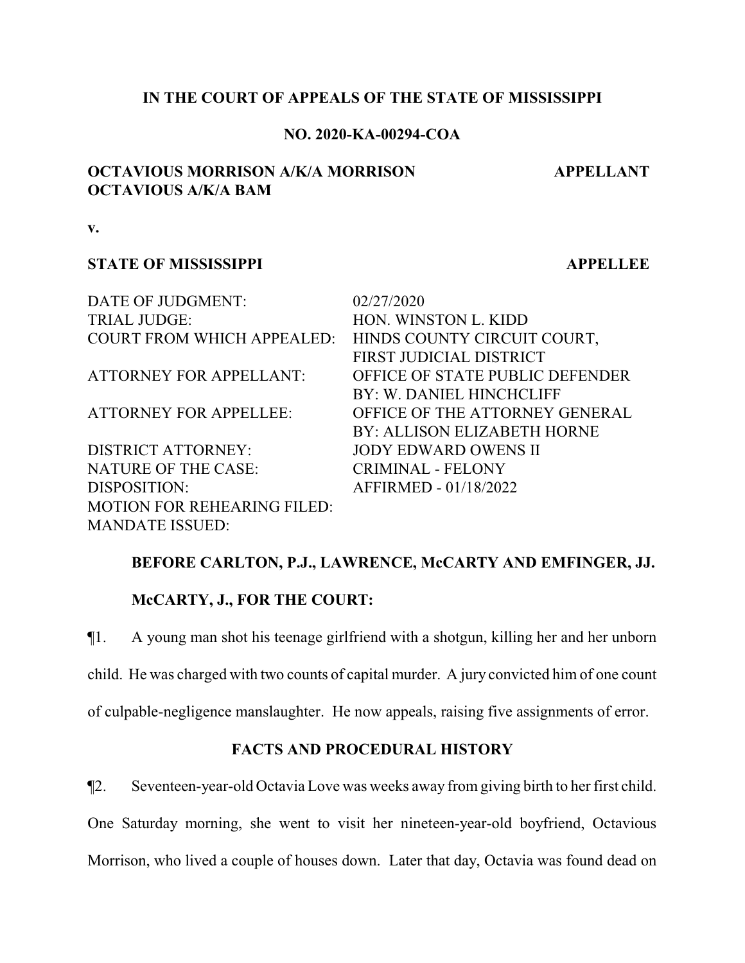## **IN THE COURT OF APPEALS OF THE STATE OF MISSISSIPPI**

### **NO. 2020-KA-00294-COA**

## **OCTAVIOUS MORRISON A/K/A MORRISON OCTAVIOUS A/K/A BAM**

**APPELLANT**

**v.**

### **STATE OF MISSISSIPPI APPELLEE**

| DATE OF JUDGMENT:                  | 02/27/2020       |
|------------------------------------|------------------|
| <b>TRIAL JUDGE:</b>                | HON. WIN         |
| <b>COURT FROM WHICH APPEALED:</b>  | <b>HINDS CO</b>  |
|                                    | <b>FIRST JUD</b> |
| <b>ATTORNEY FOR APPELLANT:</b>     | <b>OFFICE OF</b> |
|                                    | BY: W. DA        |
| <b>ATTORNEY FOR APPELLEE:</b>      | <b>OFFICE OF</b> |
|                                    | <b>BY: ALLIS</b> |
| <b>DISTRICT ATTORNEY:</b>          | <b>JODY EDW</b>  |
| <b>NATURE OF THE CASE:</b>         | <b>CRIMINAL</b>  |
| DISPOSITION:                       | <b>AFFIRMEL</b>  |
| <b>MOTION FOR REHEARING FILED:</b> |                  |
| <b>MANDATE ISSUED:</b>             |                  |

VINSTON L. KIDD COUNTY CIRCUIT COURT, **JUDICIAL DISTRICT** E OF STATE PUBLIC DEFENDER DANIEL HINCHCLIFF E OF THE ATTORNEY GENERAL LISON ELIZABETH HORNE EDWARD OWENS II NAL - FELONY MED - 01/18/2022

## **BEFORE CARLTON, P.J., LAWRENCE, McCARTY AND EMFINGER, JJ.**

# **McCARTY, J., FOR THE COURT:**

¶1. A young man shot his teenage girlfriend with a shotgun, killing her and her unborn child. He was charged with two counts of capital murder. A jury convicted him of one count of culpable-negligence manslaughter. He now appeals, raising five assignments of error.

## **FACTS AND PROCEDURAL HISTORY**

¶2. Seventeen-year-old Octavia Love was weeks away from giving birth to her first child.

One Saturday morning, she went to visit her nineteen-year-old boyfriend, Octavious

Morrison, who lived a couple of houses down. Later that day, Octavia was found dead on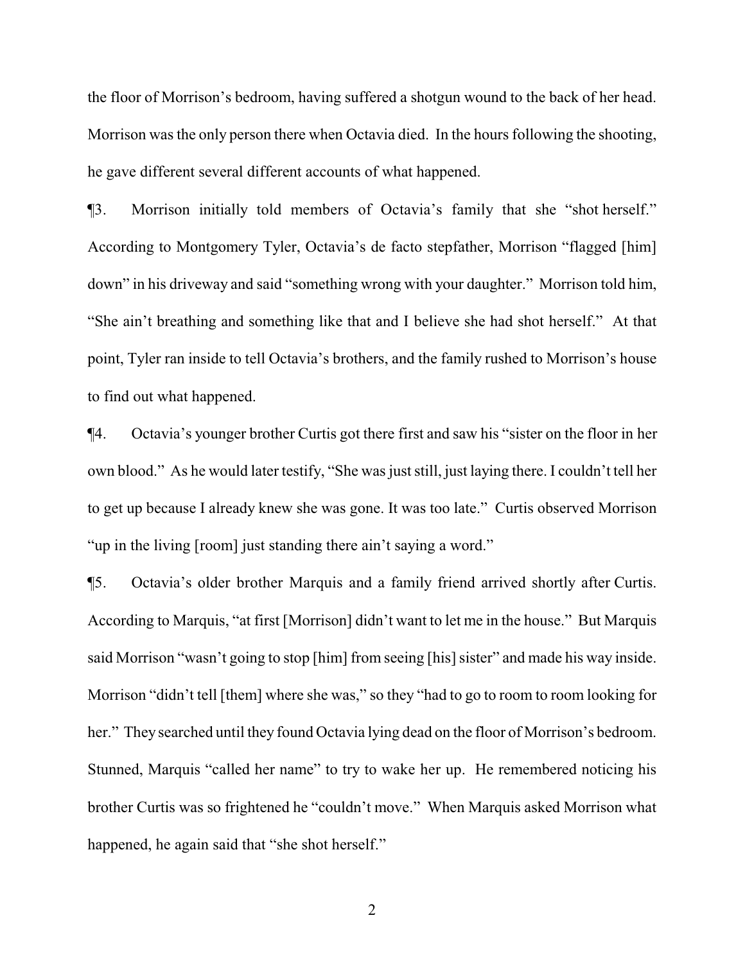the floor of Morrison's bedroom, having suffered a shotgun wound to the back of her head. Morrison was the only person there when Octavia died. In the hours following the shooting, he gave different several different accounts of what happened.

¶3. Morrison initially told members of Octavia's family that she "shot herself." According to Montgomery Tyler, Octavia's de facto stepfather, Morrison "flagged [him] down" in his driveway and said "something wrong with your daughter." Morrison told him, "She ain't breathing and something like that and I believe she had shot herself." At that point, Tyler ran inside to tell Octavia's brothers, and the family rushed to Morrison's house to find out what happened.

¶4. Octavia's younger brother Curtis got there first and saw his "sister on the floor in her own blood." As he would later testify, "She was just still, just laying there. I couldn't tell her to get up because I already knew she was gone. It was too late." Curtis observed Morrison "up in the living [room] just standing there ain't saying a word."

¶5. Octavia's older brother Marquis and a family friend arrived shortly after Curtis. According to Marquis, "at first [Morrison] didn't want to let me in the house." But Marquis said Morrison "wasn't going to stop [him] from seeing [his] sister" and made his way inside. Morrison "didn't tell [them] where she was," so they "had to go to room to room looking for her." They searched until they found Octavia lying dead on the floor of Morrison's bedroom. Stunned, Marquis "called her name" to try to wake her up. He remembered noticing his brother Curtis was so frightened he "couldn't move." When Marquis asked Morrison what happened, he again said that "she shot herself."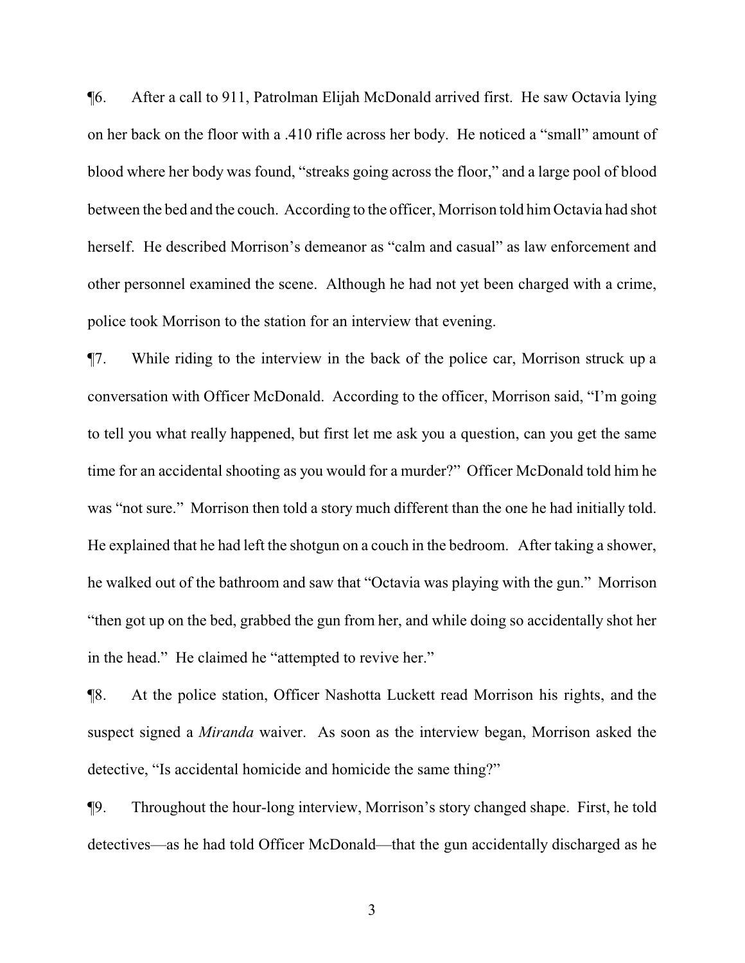¶6. After a call to 911, Patrolman Elijah McDonald arrived first. He saw Octavia lying on her back on the floor with a .410 rifle across her body. He noticed a "small" amount of blood where her body was found, "streaks going across the floor," and a large pool of blood between the bed and the couch. According to the officer, Morrison told him Octavia had shot herself. He described Morrison's demeanor as "calm and casual" as law enforcement and other personnel examined the scene. Although he had not yet been charged with a crime, police took Morrison to the station for an interview that evening.

¶7. While riding to the interview in the back of the police car, Morrison struck up a conversation with Officer McDonald. According to the officer, Morrison said, "I'm going to tell you what really happened, but first let me ask you a question, can you get the same time for an accidental shooting as you would for a murder?" Officer McDonald told him he was "not sure." Morrison then told a story much different than the one he had initially told. He explained that he had left the shotgun on a couch in the bedroom. After taking a shower, he walked out of the bathroom and saw that "Octavia was playing with the gun." Morrison "then got up on the bed, grabbed the gun from her, and while doing so accidentally shot her in the head." He claimed he "attempted to revive her."

¶8. At the police station, Officer Nashotta Luckett read Morrison his rights, and the suspect signed a *Miranda* waiver. As soon as the interview began, Morrison asked the detective, "Is accidental homicide and homicide the same thing?"

¶9. Throughout the hour-long interview, Morrison's story changed shape. First, he told detectives—as he had told Officer McDonald—that the gun accidentally discharged as he

3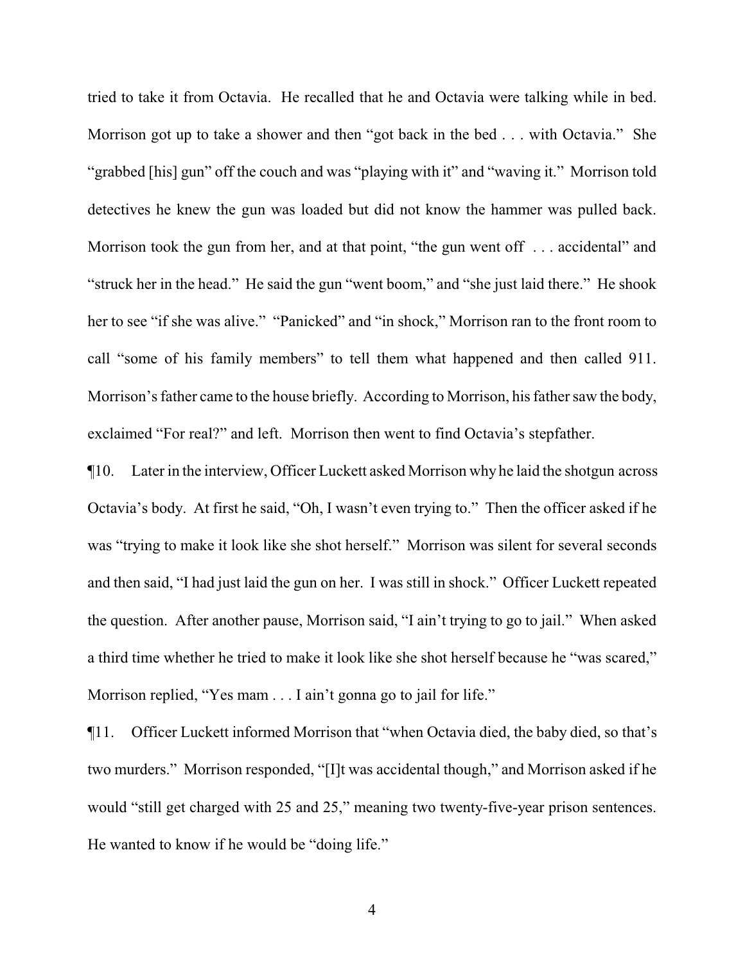tried to take it from Octavia. He recalled that he and Octavia were talking while in bed. Morrison got up to take a shower and then "got back in the bed . . . with Octavia." She "grabbed [his] gun" off the couch and was "playing with it" and "waving it." Morrison told detectives he knew the gun was loaded but did not know the hammer was pulled back. Morrison took the gun from her, and at that point, "the gun went off . . . accidental" and "struck her in the head." He said the gun "went boom," and "she just laid there." He shook her to see "if she was alive." "Panicked" and "in shock," Morrison ran to the front room to call "some of his family members" to tell them what happened and then called 911. Morrison's father came to the house briefly. According to Morrison, his father saw the body, exclaimed "For real?" and left. Morrison then went to find Octavia's stepfather.

¶10. Later in the interview, Officer Luckett asked Morrison why he laid the shotgun across Octavia's body. At first he said, "Oh, I wasn't even trying to." Then the officer asked if he was "trying to make it look like she shot herself." Morrison was silent for several seconds and then said, "I had just laid the gun on her. I was still in shock." Officer Luckett repeated the question. After another pause, Morrison said, "I ain't trying to go to jail." When asked a third time whether he tried to make it look like she shot herself because he "was scared," Morrison replied, "Yes mam . . . I ain't gonna go to jail for life."

¶11. Officer Luckett informed Morrison that "when Octavia died, the baby died, so that's two murders." Morrison responded, "[I]t was accidental though," and Morrison asked if he would "still get charged with 25 and 25," meaning two twenty-five-year prison sentences. He wanted to know if he would be "doing life."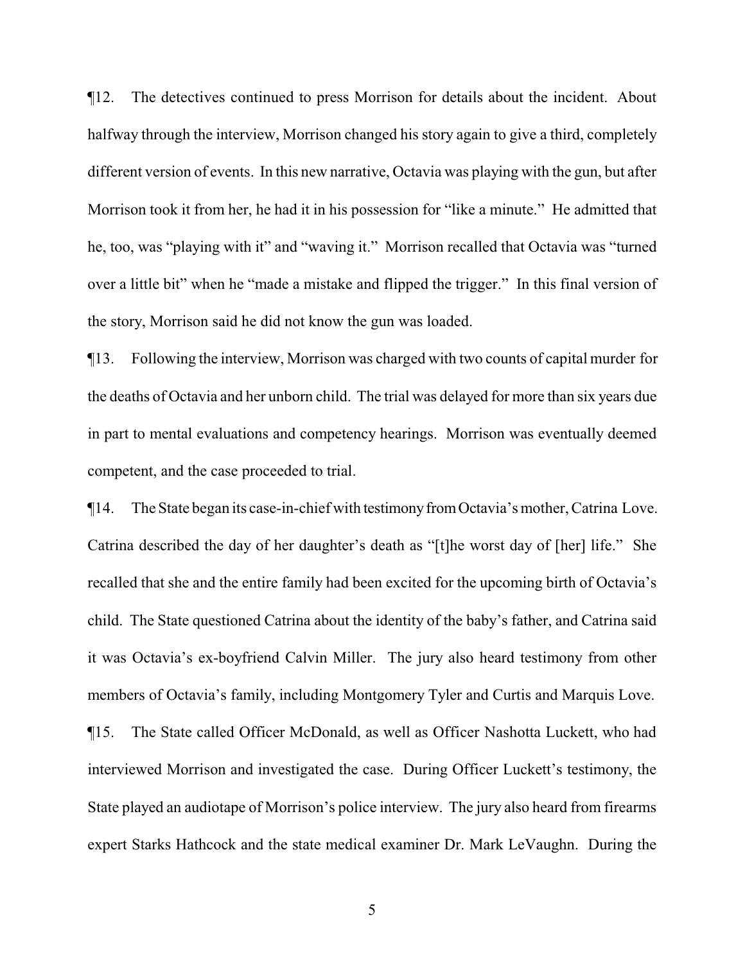¶12. The detectives continued to press Morrison for details about the incident. About halfway through the interview, Morrison changed his story again to give a third, completely different version of events. In this new narrative, Octavia was playing with the gun, but after Morrison took it from her, he had it in his possession for "like a minute." He admitted that he, too, was "playing with it" and "waving it." Morrison recalled that Octavia was "turned over a little bit" when he "made a mistake and flipped the trigger." In this final version of the story, Morrison said he did not know the gun was loaded.

¶13. Following the interview, Morrison was charged with two counts of capital murder for the deaths of Octavia and her unborn child. The trial was delayed for more than six years due in part to mental evaluations and competency hearings. Morrison was eventually deemed competent, and the case proceeded to trial.

¶14. The State began its case-in-chief with testimonyfromOctavia's mother, Catrina Love. Catrina described the day of her daughter's death as "[t]he worst day of [her] life." She recalled that she and the entire family had been excited for the upcoming birth of Octavia's child. The State questioned Catrina about the identity of the baby's father, and Catrina said it was Octavia's ex-boyfriend Calvin Miller. The jury also heard testimony from other members of Octavia's family, including Montgomery Tyler and Curtis and Marquis Love. ¶15. The State called Officer McDonald, as well as Officer Nashotta Luckett, who had interviewed Morrison and investigated the case. During Officer Luckett's testimony, the State played an audiotape of Morrison's police interview. The jury also heard from firearms expert Starks Hathcock and the state medical examiner Dr. Mark LeVaughn. During the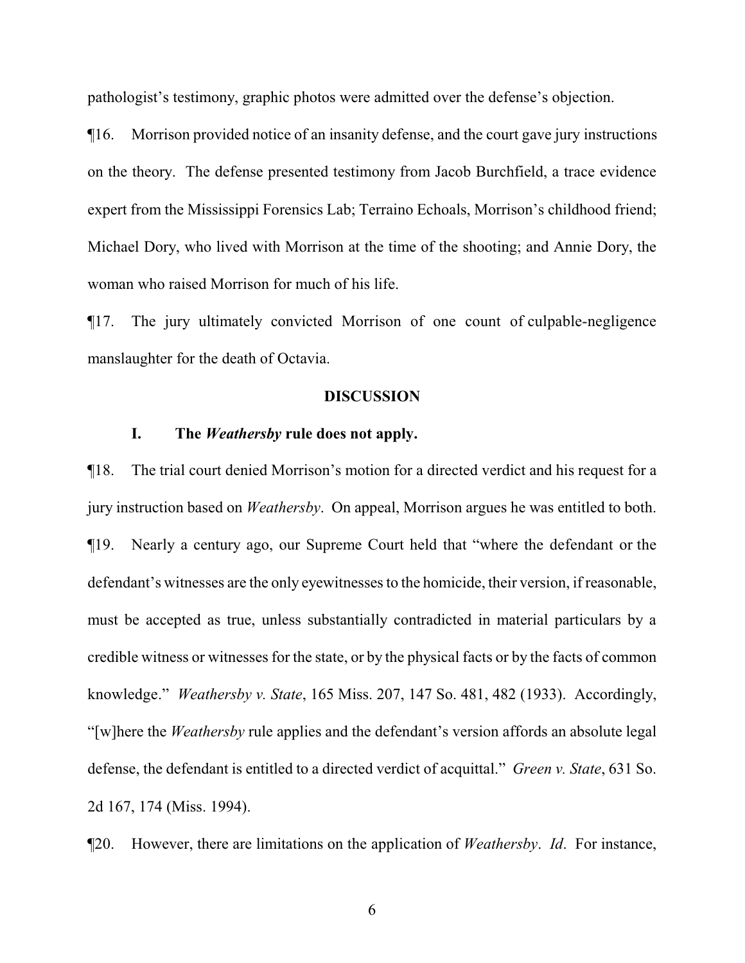pathologist's testimony, graphic photos were admitted over the defense's objection.

¶16. Morrison provided notice of an insanity defense, and the court gave jury instructions on the theory. The defense presented testimony from Jacob Burchfield, a trace evidence expert from the Mississippi Forensics Lab; Terraino Echoals, Morrison's childhood friend; Michael Dory, who lived with Morrison at the time of the shooting; and Annie Dory, the woman who raised Morrison for much of his life.

¶17. The jury ultimately convicted Morrison of one count of culpable-negligence manslaughter for the death of Octavia.

#### **DISCUSSION**

### **I. The** *Weathersby* **rule does not apply.**

¶18. The trial court denied Morrison's motion for a directed verdict and his request for a jury instruction based on *Weathersby*. On appeal, Morrison argues he was entitled to both. ¶19. Nearly a century ago, our Supreme Court held that "where the defendant or the defendant's witnesses are the only eyewitnesses to the homicide, their version, if reasonable, must be accepted as true, unless substantially contradicted in material particulars by a credible witness or witnesses for the state, or by the physical facts or by the facts of common knowledge." *Weathersby v. State*, 165 Miss. 207, 147 So. 481, 482 (1933). Accordingly, "[w]here the *Weathersby* rule applies and the defendant's version affords an absolute legal defense, the defendant is entitled to a directed verdict of acquittal." *Green v. State*, 631 So. 2d 167, 174 (Miss. 1994).

¶20. However, there are limitations on the application of *Weathersby*. *Id*. For instance,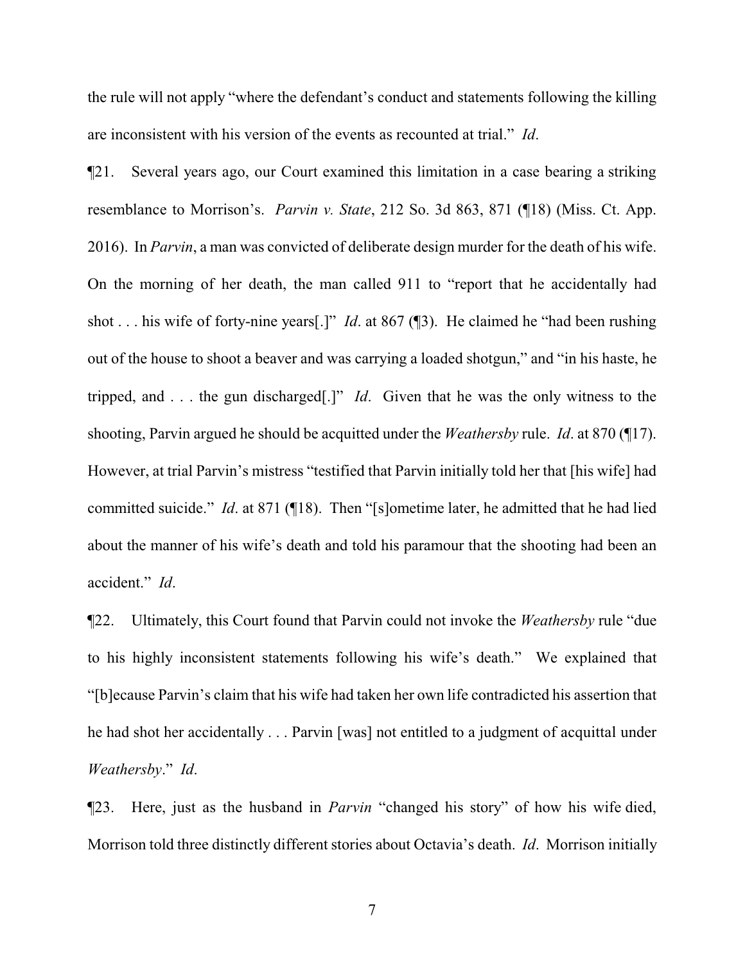the rule will not apply "where the defendant's conduct and statements following the killing are inconsistent with his version of the events as recounted at trial." *Id*.

¶21. Several years ago, our Court examined this limitation in a case bearing a striking resemblance to Morrison's. *Parvin v. State*, 212 So. 3d 863, 871 (¶18) (Miss. Ct. App. 2016). In *Parvin*, a man was convicted of deliberate design murder for the death of his wife. On the morning of her death, the man called 911 to "report that he accidentally had shot . . . his wife of forty-nine years[.]" *Id*. at 867 (¶3). He claimed he "had been rushing out of the house to shoot a beaver and was carrying a loaded shotgun," and "in his haste, he tripped, and . . . the gun discharged[.]" *Id*. Given that he was the only witness to the shooting, Parvin argued he should be acquitted under the *Weathersby* rule. *Id*. at 870 (¶17). However, at trial Parvin's mistress "testified that Parvin initially told her that [his wife] had committed suicide." *Id*. at 871 (¶18). Then "[s]ometime later, he admitted that he had lied about the manner of his wife's death and told his paramour that the shooting had been an accident." *Id*.

¶22. Ultimately, this Court found that Parvin could not invoke the *Weathersby* rule "due to his highly inconsistent statements following his wife's death." We explained that "[b]ecause Parvin's claim that his wife had taken her own life contradicted his assertion that he had shot her accidentally . . . Parvin [was] not entitled to a judgment of acquittal under *Weathersby*." *Id*.

¶23. Here, just as the husband in *Parvin* "changed his story" of how his wife died, Morrison told three distinctly different stories about Octavia's death. *Id*. Morrison initially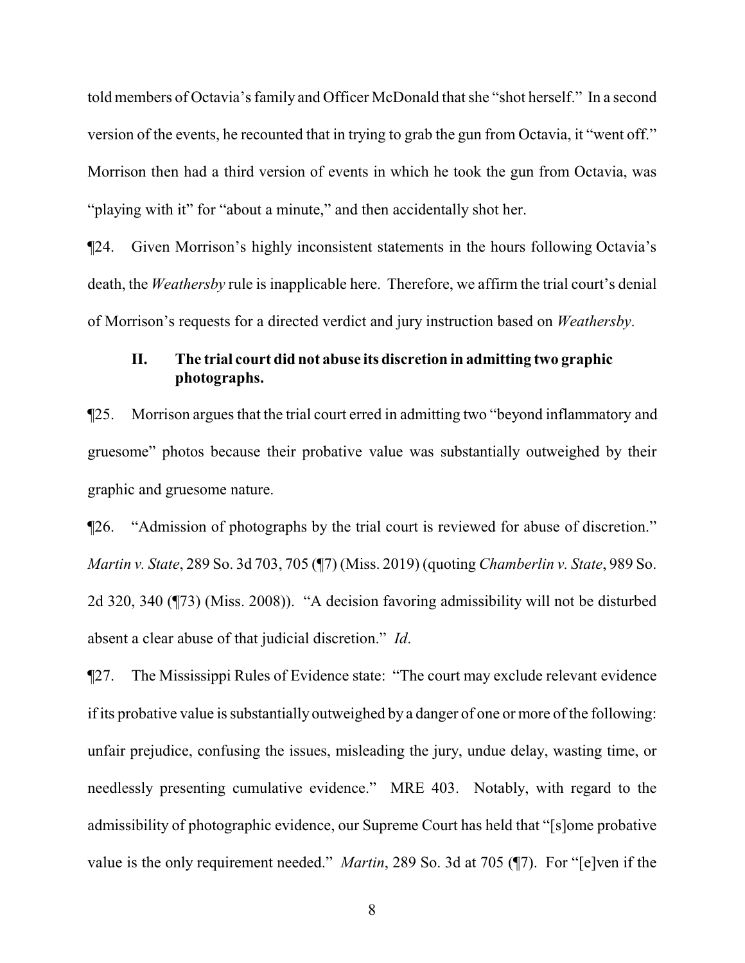told members of Octavia's family and Officer McDonald that she "shot herself." In a second version of the events, he recounted that in trying to grab the gun from Octavia, it "went off." Morrison then had a third version of events in which he took the gun from Octavia, was "playing with it" for "about a minute," and then accidentally shot her.

¶24. Given Morrison's highly inconsistent statements in the hours following Octavia's death, the *Weathersby* rule is inapplicable here. Therefore, we affirm the trial court's denial of Morrison's requests for a directed verdict and jury instruction based on *Weathersby*.

## **II. The trial court did not abuse its discretion in admitting two graphic photographs.**

¶25. Morrison argues that the trial court erred in admitting two "beyond inflammatory and gruesome" photos because their probative value was substantially outweighed by their graphic and gruesome nature.

¶26. "Admission of photographs by the trial court is reviewed for abuse of discretion." *Martin v. State*, 289 So. 3d 703, 705 (¶7) (Miss. 2019) (quoting *Chamberlin v. State*, 989 So. 2d 320, 340 (¶73) (Miss. 2008)). "A decision favoring admissibility will not be disturbed absent a clear abuse of that judicial discretion." *Id*.

¶27. The Mississippi Rules of Evidence state: "The court may exclude relevant evidence if its probative value is substantially outweighed by a danger of one or more of the following: unfair prejudice, confusing the issues, misleading the jury, undue delay, wasting time, or needlessly presenting cumulative evidence." MRE 403. Notably, with regard to the admissibility of photographic evidence, our Supreme Court has held that "[s]ome probative value is the only requirement needed." *Martin*, 289 So. 3d at 705 (¶7). For "[e]ven if the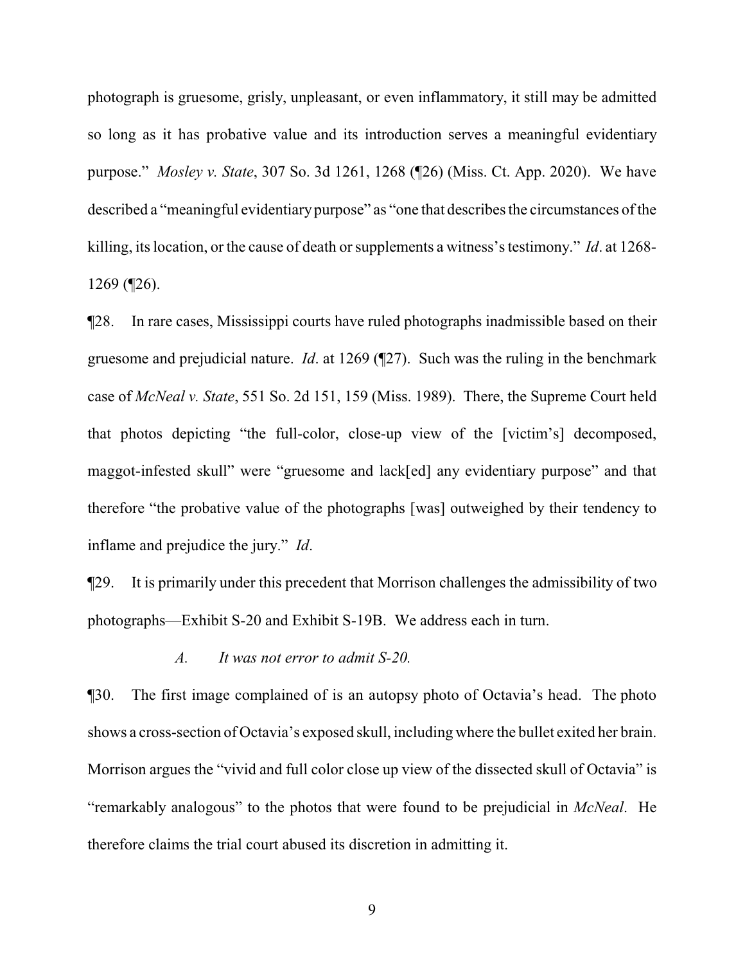photograph is gruesome, grisly, unpleasant, or even inflammatory, it still may be admitted so long as it has probative value and its introduction serves a meaningful evidentiary purpose." *Mosley v. State*, 307 So. 3d 1261, 1268 (¶26) (Miss. Ct. App. 2020). We have described a "meaningful evidentiary purpose" as "one that describes the circumstances of the killing, its location, or the cause of death or supplements a witness's testimony." *Id*. at 1268- 1269 (¶26).

¶28. In rare cases, Mississippi courts have ruled photographs inadmissible based on their gruesome and prejudicial nature. *Id*. at 1269 (¶27). Such was the ruling in the benchmark case of *McNeal v. State*, 551 So. 2d 151, 159 (Miss. 1989). There, the Supreme Court held that photos depicting "the full-color, close-up view of the [victim's] decomposed, maggot-infested skull" were "gruesome and lack[ed] any evidentiary purpose" and that therefore "the probative value of the photographs [was] outweighed by their tendency to inflame and prejudice the jury." *Id*.

¶29. It is primarily under this precedent that Morrison challenges the admissibility of two photographs—Exhibit S-20 and Exhibit S-19B. We address each in turn.

### *A. It was not error to admit S-20.*

¶30. The first image complained of is an autopsy photo of Octavia's head. The photo shows a cross-section of Octavia's exposed skull, including where the bullet exited her brain. Morrison argues the "vivid and full color close up view of the dissected skull of Octavia" is "remarkably analogous" to the photos that were found to be prejudicial in *McNeal*. He therefore claims the trial court abused its discretion in admitting it.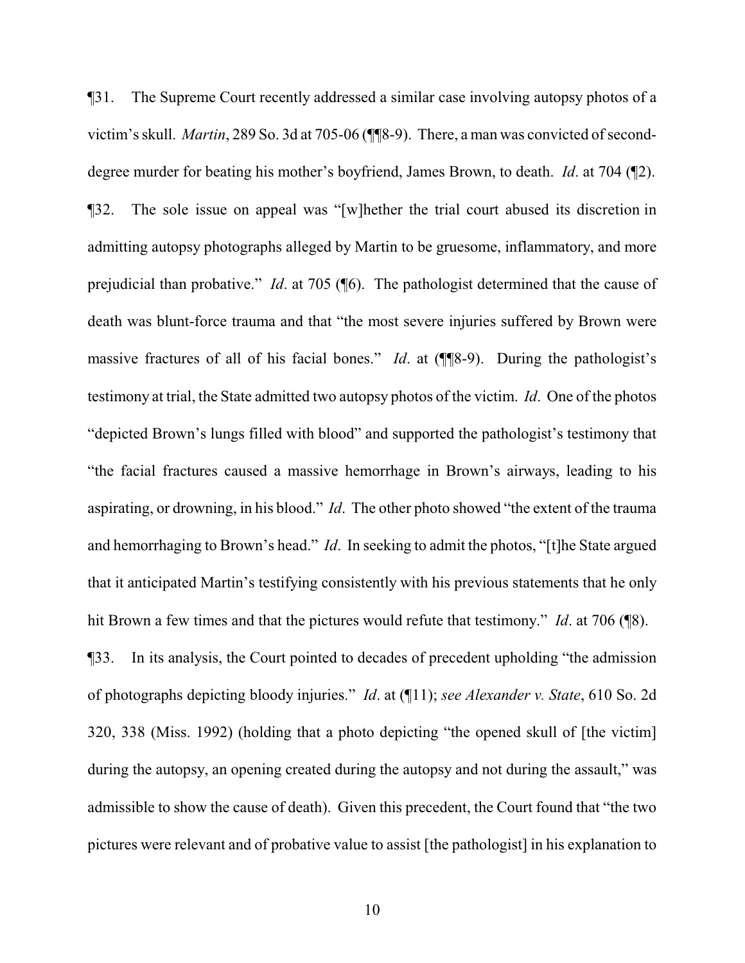¶31. The Supreme Court recently addressed a similar case involving autopsy photos of a victim's skull. *Martin*, 289 So. 3d at 705-06 ( $\P$ <sup> $\P$ 8-9). There, a man was convicted of second-</sup> degree murder for beating his mother's boyfriend, James Brown, to death. *Id*. at 704 (¶2). ¶32. The sole issue on appeal was "[w]hether the trial court abused its discretion in admitting autopsy photographs alleged by Martin to be gruesome, inflammatory, and more prejudicial than probative." *Id*. at 705 (¶6). The pathologist determined that the cause of death was blunt-force trauma and that "the most severe injuries suffered by Brown were massive fractures of all of his facial bones." *Id*. at (¶¶8-9). During the pathologist's testimony at trial, the State admitted two autopsy photos of the victim. *Id*. One of the photos "depicted Brown's lungs filled with blood" and supported the pathologist's testimony that "the facial fractures caused a massive hemorrhage in Brown's airways, leading to his aspirating, or drowning, in his blood." *Id*. The other photo showed "the extent of the trauma and hemorrhaging to Brown's head." *Id*. In seeking to admit the photos, "[t]he State argued that it anticipated Martin's testifying consistently with his previous statements that he only hit Brown a few times and that the pictures would refute that testimony." *Id*. at 706 (¶8). ¶33. In its analysis, the Court pointed to decades of precedent upholding "the admission of photographs depicting bloody injuries." *Id*. at (¶11); *see Alexander v. State*, 610 So. 2d 320, 338 (Miss. 1992) (holding that a photo depicting "the opened skull of [the victim] during the autopsy, an opening created during the autopsy and not during the assault," was admissible to show the cause of death). Given this precedent, the Court found that "the two

pictures were relevant and of probative value to assist [the pathologist] in his explanation to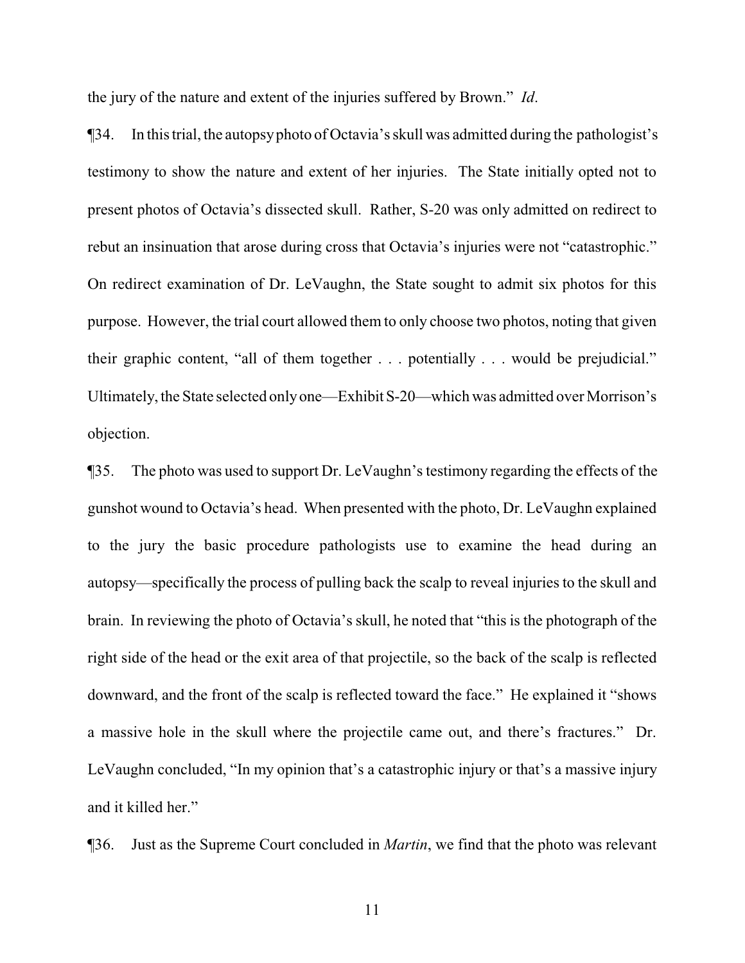the jury of the nature and extent of the injuries suffered by Brown." *Id*.

¶34. In this trial, the autopsyphoto of Octavia's skull was admitted during the pathologist's testimony to show the nature and extent of her injuries. The State initially opted not to present photos of Octavia's dissected skull. Rather, S-20 was only admitted on redirect to rebut an insinuation that arose during cross that Octavia's injuries were not "catastrophic." On redirect examination of Dr. LeVaughn, the State sought to admit six photos for this purpose. However, the trial court allowed them to only choose two photos, noting that given their graphic content, "all of them together . . . potentially . . . would be prejudicial." Ultimately, the State selected onlyone—ExhibitS-20—which was admitted over Morrison's objection.

¶35. The photo was used to support Dr. LeVaughn's testimony regarding the effects of the gunshot wound to Octavia's head. When presented with the photo, Dr. LeVaughn explained to the jury the basic procedure pathologists use to examine the head during an autopsy—specifically the process of pulling back the scalp to reveal injuries to the skull and brain. In reviewing the photo of Octavia's skull, he noted that "this is the photograph of the right side of the head or the exit area of that projectile, so the back of the scalp is reflected downward, and the front of the scalp is reflected toward the face." He explained it "shows a massive hole in the skull where the projectile came out, and there's fractures." Dr. LeVaughn concluded, "In my opinion that's a catastrophic injury or that's a massive injury and it killed her."

¶36. Just as the Supreme Court concluded in *Martin*, we find that the photo was relevant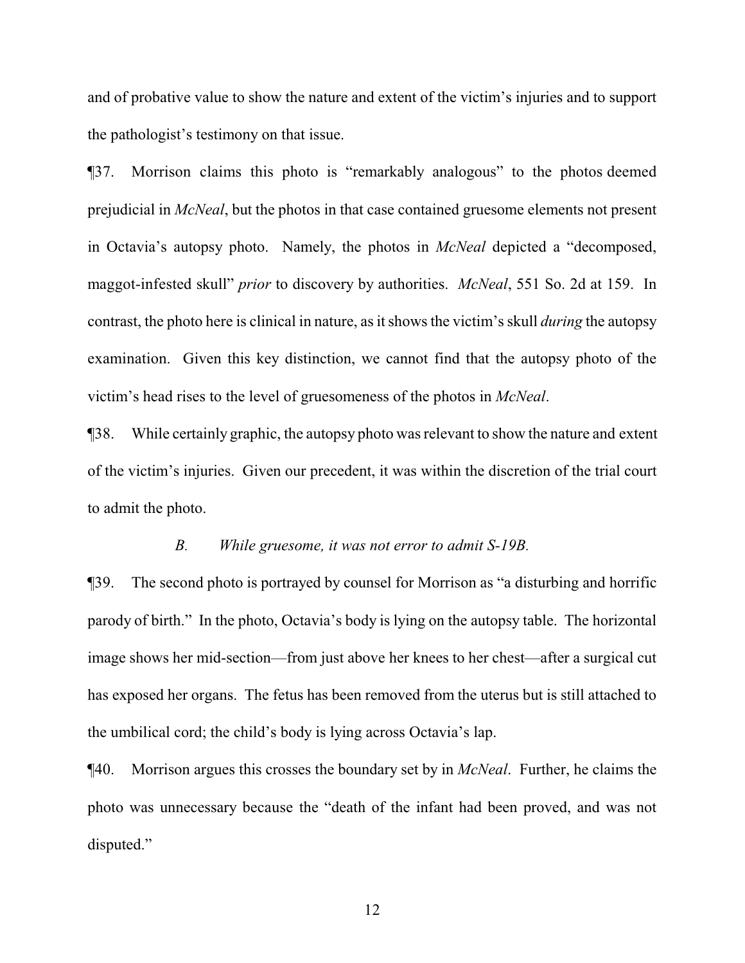and of probative value to show the nature and extent of the victim's injuries and to support the pathologist's testimony on that issue.

¶37. Morrison claims this photo is "remarkably analogous" to the photos deemed prejudicial in *McNeal*, but the photos in that case contained gruesome elements not present in Octavia's autopsy photo. Namely, the photos in *McNeal* depicted a "decomposed, maggot-infested skull" *prior* to discovery by authorities. *McNeal*, 551 So. 2d at 159. In contrast, the photo here is clinical in nature, as it shows the victim's skull *during* the autopsy examination. Given this key distinction, we cannot find that the autopsy photo of the victim's head rises to the level of gruesomeness of the photos in *McNeal*.

¶38. While certainly graphic, the autopsy photo was relevant to show the nature and extent of the victim's injuries. Given our precedent, it was within the discretion of the trial court to admit the photo.

#### *B. While gruesome, it was not error to admit S-19B.*

¶39. The second photo is portrayed by counsel for Morrison as "a disturbing and horrific parody of birth." In the photo, Octavia's body is lying on the autopsy table. The horizontal image shows her mid-section—from just above her knees to her chest—after a surgical cut has exposed her organs. The fetus has been removed from the uterus but is still attached to the umbilical cord; the child's body is lying across Octavia's lap.

¶40. Morrison argues this crosses the boundary set by in *McNeal*. Further, he claims the photo was unnecessary because the "death of the infant had been proved, and was not disputed."

12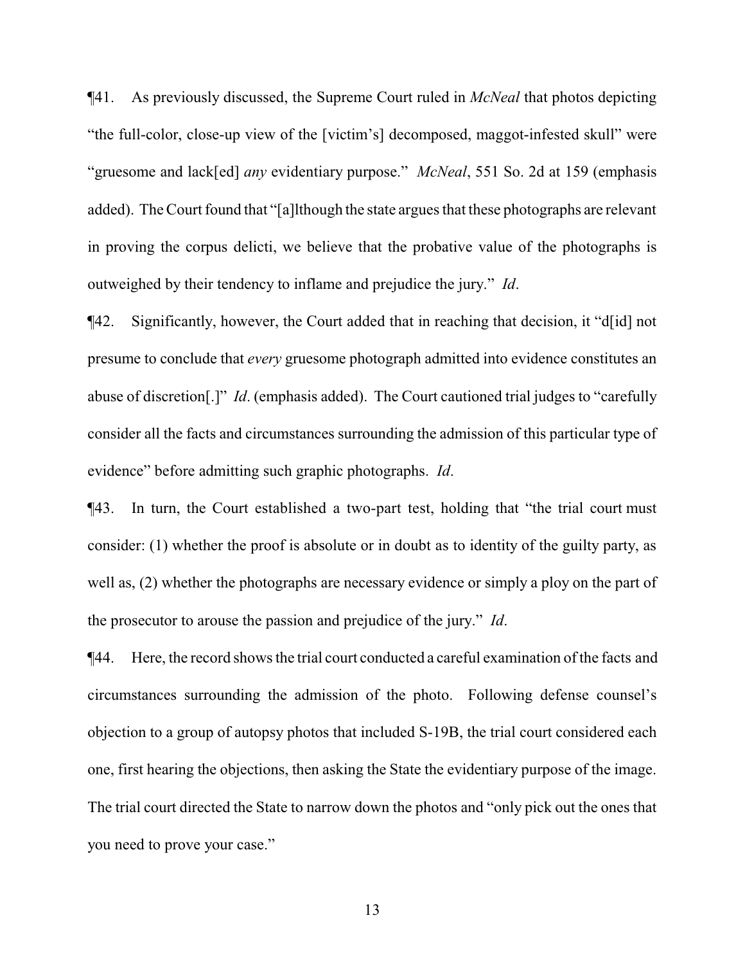¶41. As previously discussed, the Supreme Court ruled in *McNeal* that photos depicting "the full-color, close-up view of the [victim's] decomposed, maggot-infested skull" were "gruesome and lack[ed] *any* evidentiary purpose." *McNeal*, 551 So. 2d at 159 (emphasis added). The Court found that "[a]lthough the state argues that these photographs are relevant in proving the corpus delicti, we believe that the probative value of the photographs is outweighed by their tendency to inflame and prejudice the jury." *Id*.

¶42. Significantly, however, the Court added that in reaching that decision, it "d[id] not presume to conclude that *every* gruesome photograph admitted into evidence constitutes an abuse of discretion[.]" *Id*. (emphasis added). The Court cautioned trial judges to "carefully consider all the facts and circumstances surrounding the admission of this particular type of evidence" before admitting such graphic photographs. *Id*.

¶43. In turn, the Court established a two-part test, holding that "the trial court must consider: (1) whether the proof is absolute or in doubt as to identity of the guilty party, as well as, (2) whether the photographs are necessary evidence or simply a ploy on the part of the prosecutor to arouse the passion and prejudice of the jury." *Id*.

¶44. Here, the record shows the trial court conducted a careful examination of the facts and circumstances surrounding the admission of the photo. Following defense counsel's objection to a group of autopsy photos that included S-19B, the trial court considered each one, first hearing the objections, then asking the State the evidentiary purpose of the image. The trial court directed the State to narrow down the photos and "only pick out the ones that you need to prove your case."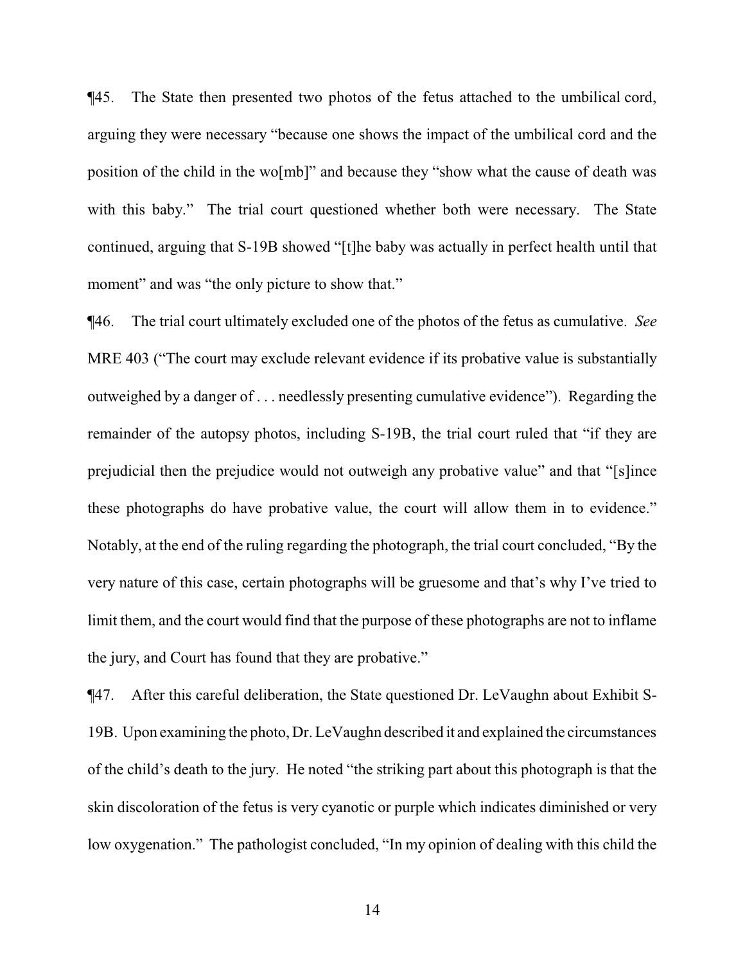¶45. The State then presented two photos of the fetus attached to the umbilical cord, arguing they were necessary "because one shows the impact of the umbilical cord and the position of the child in the wo[mb]" and because they "show what the cause of death was with this baby." The trial court questioned whether both were necessary. The State continued, arguing that S-19B showed "[t]he baby was actually in perfect health until that moment" and was "the only picture to show that."

¶46. The trial court ultimately excluded one of the photos of the fetus as cumulative. *See* MRE 403 ("The court may exclude relevant evidence if its probative value is substantially outweighed by a danger of . . . needlessly presenting cumulative evidence"). Regarding the remainder of the autopsy photos, including S-19B, the trial court ruled that "if they are prejudicial then the prejudice would not outweigh any probative value" and that "[s]ince these photographs do have probative value, the court will allow them in to evidence." Notably, at the end of the ruling regarding the photograph, the trial court concluded, "By the very nature of this case, certain photographs will be gruesome and that's why I've tried to limit them, and the court would find that the purpose of these photographs are not to inflame the jury, and Court has found that they are probative."

¶47. After this careful deliberation, the State questioned Dr. LeVaughn about Exhibit S-19B. Upon examining the photo, Dr. LeVaughn described it and explained the circumstances of the child's death to the jury. He noted "the striking part about this photograph is that the skin discoloration of the fetus is very cyanotic or purple which indicates diminished or very low oxygenation." The pathologist concluded, "In my opinion of dealing with this child the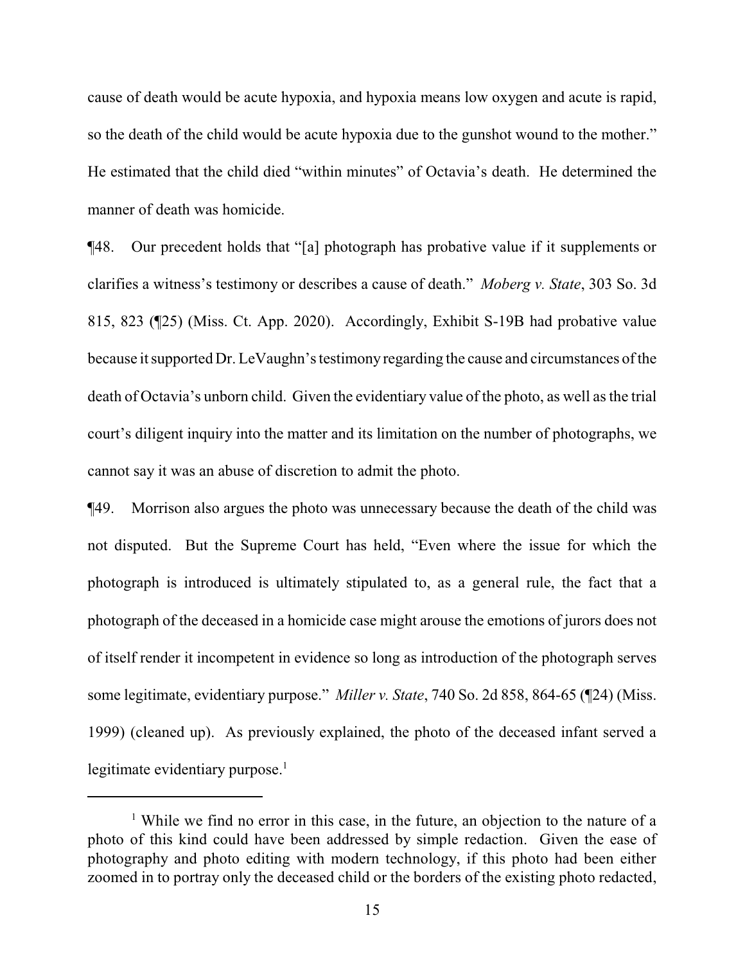cause of death would be acute hypoxia, and hypoxia means low oxygen and acute is rapid, so the death of the child would be acute hypoxia due to the gunshot wound to the mother." He estimated that the child died "within minutes" of Octavia's death. He determined the manner of death was homicide.

¶48. Our precedent holds that "[a] photograph has probative value if it supplements or clarifies a witness's testimony or describes a cause of death." *Moberg v. State*, 303 So. 3d 815, 823 (¶25) (Miss. Ct. App. 2020). Accordingly, Exhibit S-19B had probative value because it supported Dr. LeVaughn's testimony regarding the cause and circumstances ofthe death of Octavia's unborn child. Given the evidentiary value of the photo, as well as the trial court's diligent inquiry into the matter and its limitation on the number of photographs, we cannot say it was an abuse of discretion to admit the photo.

¶49. Morrison also argues the photo was unnecessary because the death of the child was not disputed. But the Supreme Court has held, "Even where the issue for which the photograph is introduced is ultimately stipulated to, as a general rule, the fact that a photograph of the deceased in a homicide case might arouse the emotions of jurors does not of itself render it incompetent in evidence so long as introduction of the photograph serves some legitimate, evidentiary purpose." *Miller v. State*, 740 So. 2d 858, 864-65 (¶24) (Miss. 1999) (cleaned up). As previously explained, the photo of the deceased infant served a legitimate evidentiary purpose. $<sup>1</sup>$ </sup>

<sup>&</sup>lt;sup>1</sup> While we find no error in this case, in the future, an objection to the nature of a photo of this kind could have been addressed by simple redaction. Given the ease of photography and photo editing with modern technology, if this photo had been either zoomed in to portray only the deceased child or the borders of the existing photo redacted,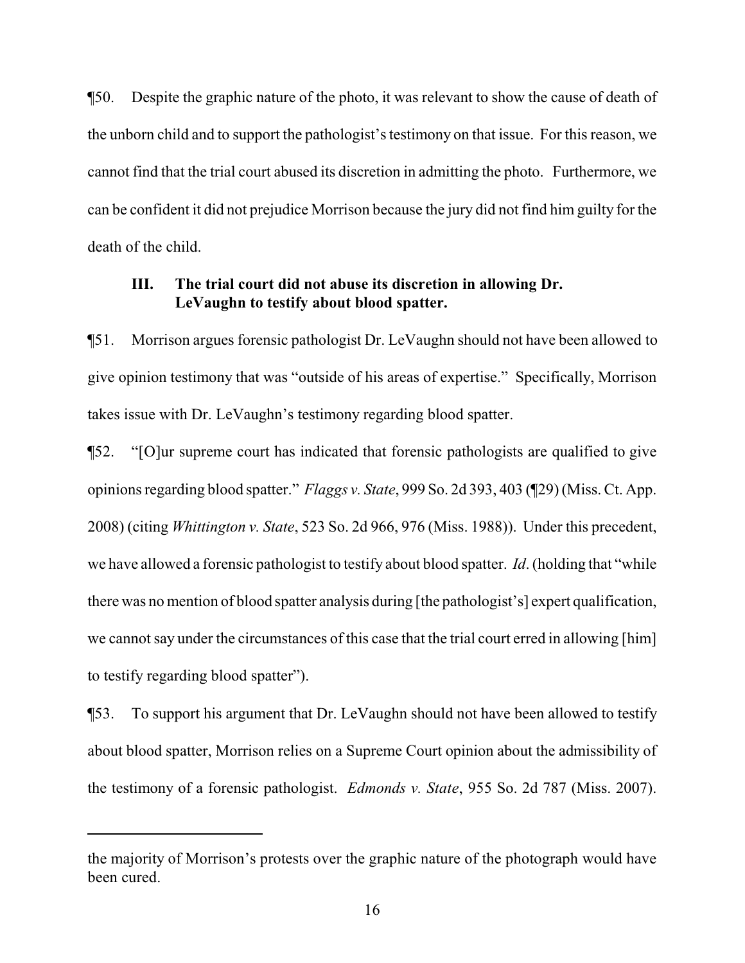¶50. Despite the graphic nature of the photo, it was relevant to show the cause of death of the unborn child and to support the pathologist's testimony on that issue. For this reason, we cannot find that the trial court abused its discretion in admitting the photo. Furthermore, we can be confident it did not prejudice Morrison because the jury did not find him guilty for the death of the child.

## **III. The trial court did not abuse its discretion in allowing Dr. LeVaughn to testify about blood spatter.**

¶51. Morrison argues forensic pathologist Dr. LeVaughn should not have been allowed to give opinion testimony that was "outside of his areas of expertise." Specifically, Morrison takes issue with Dr. LeVaughn's testimony regarding blood spatter.

¶52. "[O]ur supreme court has indicated that forensic pathologists are qualified to give opinions regarding blood spatter." *Flaggs v. State*, 999 So. 2d 393, 403 (¶29) (Miss. Ct. App. 2008) (citing *Whittington v. State*, 523 So. 2d 966, 976 (Miss. 1988)). Under this precedent, we have allowed a forensic pathologist to testify about blood spatter. *Id*. (holding that "while there was no mention of blood spatter analysis during [the pathologist's] expert qualification, we cannot say under the circumstances of this case that the trial court erred in allowing [him] to testify regarding blood spatter").

¶53. To support his argument that Dr. LeVaughn should not have been allowed to testify about blood spatter, Morrison relies on a Supreme Court opinion about the admissibility of the testimony of a forensic pathologist. *Edmonds v. State*, 955 So. 2d 787 (Miss. 2007).

the majority of Morrison's protests over the graphic nature of the photograph would have been cured.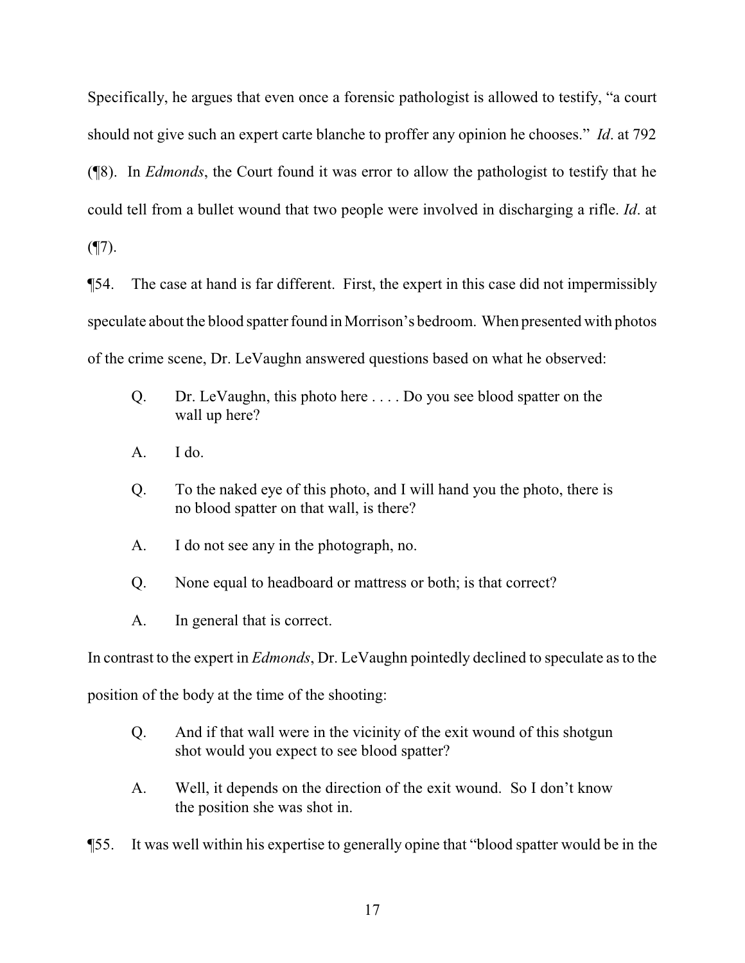Specifically, he argues that even once a forensic pathologist is allowed to testify, "a court should not give such an expert carte blanche to proffer any opinion he chooses." *Id*. at 792 (¶8). In *Edmonds*, the Court found it was error to allow the pathologist to testify that he could tell from a bullet wound that two people were involved in discharging a rifle. *Id*. at

 $($ 

¶54. The case at hand is far different. First, the expert in this case did not impermissibly speculate about the blood spatter found in Morrison's bedroom. When presented with photos of the crime scene, Dr. LeVaughn answered questions based on what he observed:

- Q. Dr. LeVaughn, this photo here . . . . Do you see blood spatter on the wall up here?
- $A.$  I do.
- Q. To the naked eye of this photo, and I will hand you the photo, there is no blood spatter on that wall, is there?
- A. I do not see any in the photograph, no.
- Q. None equal to headboard or mattress or both; is that correct?
- A. In general that is correct.

In contrast to the expert in *Edmonds*, Dr. LeVaughn pointedly declined to speculate as to the

position of the body at the time of the shooting:

- Q. And if that wall were in the vicinity of the exit wound of this shotgun shot would you expect to see blood spatter?
- A. Well, it depends on the direction of the exit wound. So I don't know the position she was shot in.
- ¶55. It was well within his expertise to generally opine that "blood spatter would be in the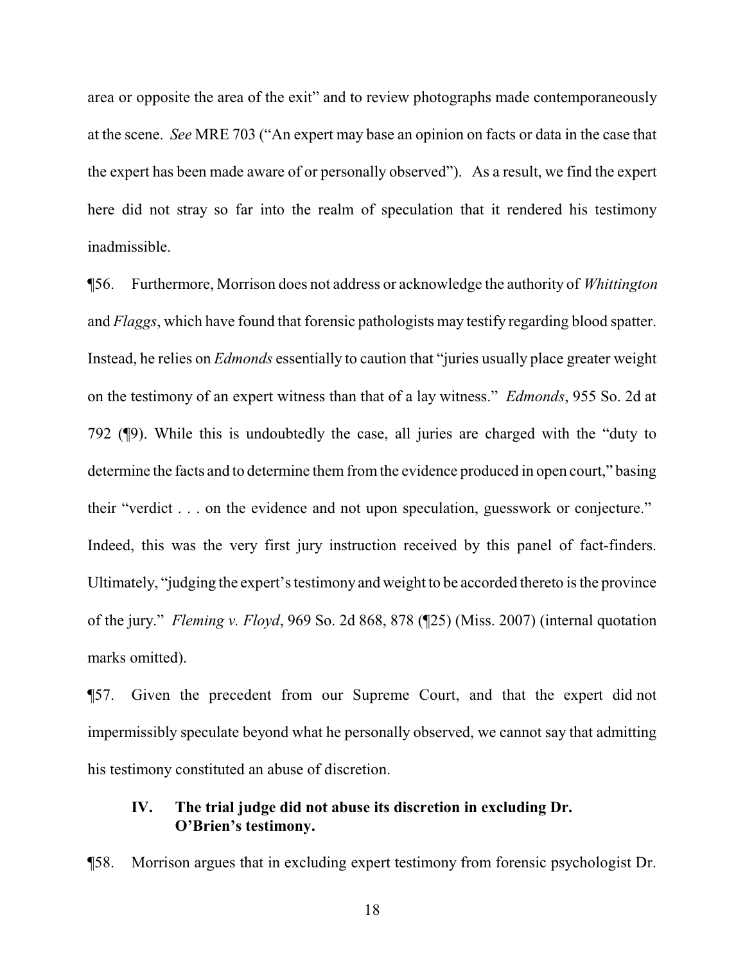area or opposite the area of the exit" and to review photographs made contemporaneously at the scene. *See* MRE 703 ("An expert may base an opinion on facts or data in the case that the expert has been made aware of or personally observed"). As a result, we find the expert here did not stray so far into the realm of speculation that it rendered his testimony inadmissible.

¶56. Furthermore, Morrison does not address or acknowledge the authority of *Whittington* and *Flaggs*, which have found that forensic pathologists may testify regarding blood spatter. Instead, he relies on *Edmonds* essentially to caution that "juries usually place greater weight on the testimony of an expert witness than that of a lay witness." *Edmonds*, 955 So. 2d at 792 (¶9). While this is undoubtedly the case, all juries are charged with the "duty to determine the facts and to determine them from the evidence produced in open court," basing their "verdict . . . on the evidence and not upon speculation, guesswork or conjecture." Indeed, this was the very first jury instruction received by this panel of fact-finders. Ultimately, "judging the expert's testimony and weight to be accorded thereto is the province of the jury." *Fleming v. Floyd*, 969 So. 2d 868, 878 (¶25) (Miss. 2007) (internal quotation marks omitted).

¶57. Given the precedent from our Supreme Court, and that the expert did not impermissibly speculate beyond what he personally observed, we cannot say that admitting his testimony constituted an abuse of discretion.

## **IV. The trial judge did not abuse its discretion in excluding Dr. O'Brien's testimony.**

¶58. Morrison argues that in excluding expert testimony from forensic psychologist Dr.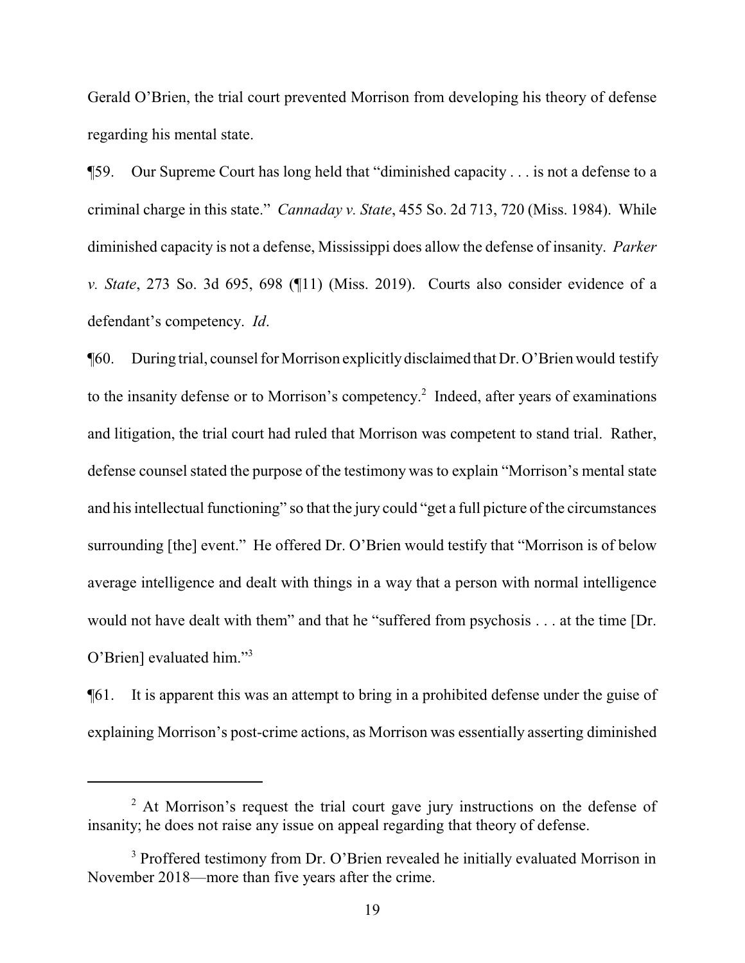Gerald O'Brien, the trial court prevented Morrison from developing his theory of defense regarding his mental state.

¶59. Our Supreme Court has long held that "diminished capacity . . . is not a defense to a criminal charge in this state." *Cannaday v. State*, 455 So. 2d 713, 720 (Miss. 1984). While diminished capacity is not a defense, Mississippi does allow the defense of insanity. *Parker v. State*, 273 So. 3d 695, 698 (¶11) (Miss. 2019). Courts also consider evidence of a defendant's competency. *Id*.

¶60. During trial, counsel for Morrison explicitlydisclaimed that Dr. O'Brien would testify to the insanity defense or to Morrison's competency. 2 Indeed, after years of examinations and litigation, the trial court had ruled that Morrison was competent to stand trial. Rather, defense counsel stated the purpose of the testimony was to explain "Morrison's mental state and his intellectual functioning" so that the jury could "get a full picture of the circumstances surrounding [the] event." He offered Dr. O'Brien would testify that "Morrison is of below average intelligence and dealt with things in a way that a person with normal intelligence would not have dealt with them" and that he "suffered from psychosis . . . at the time [Dr. O'Brien] evaluated him."<sup>3</sup>

¶61. It is apparent this was an attempt to bring in a prohibited defense under the guise of explaining Morrison's post-crime actions, as Morrison was essentially asserting diminished

 $2<sup>2</sup>$  At Morrison's request the trial court gave jury instructions on the defense of insanity; he does not raise any issue on appeal regarding that theory of defense.

<sup>&</sup>lt;sup>3</sup> Proffered testimony from Dr. O'Brien revealed he initially evaluated Morrison in November 2018—more than five years after the crime.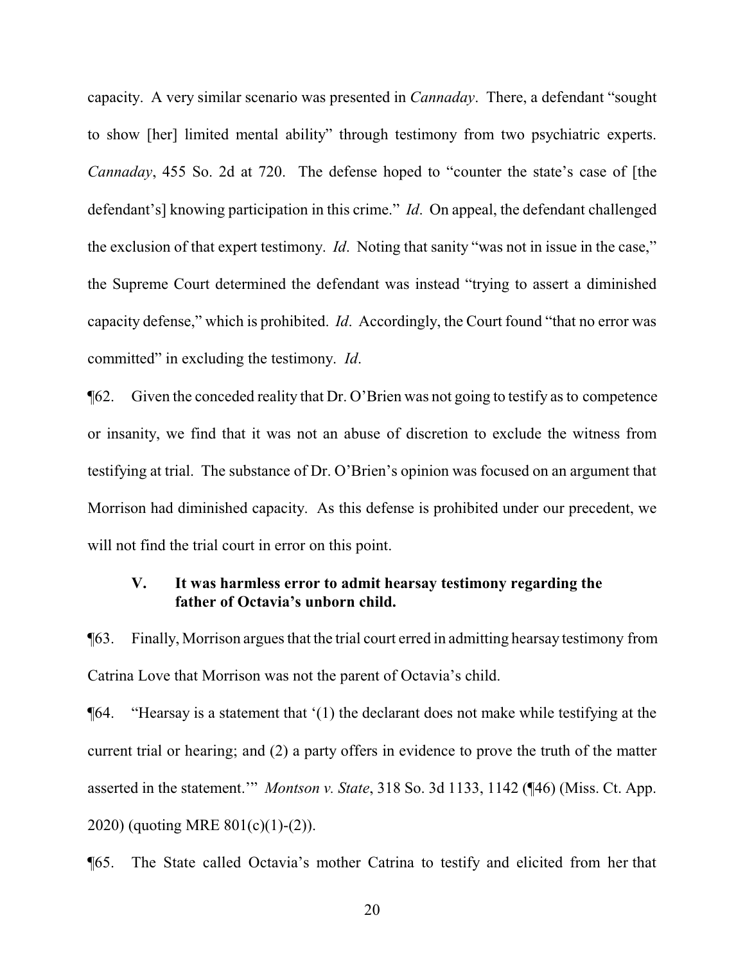capacity. A very similar scenario was presented in *Cannaday*. There, a defendant "sought to show [her] limited mental ability" through testimony from two psychiatric experts. *Cannaday*, 455 So. 2d at 720. The defense hoped to "counter the state's case of [the defendant's] knowing participation in this crime." *Id*. On appeal, the defendant challenged the exclusion of that expert testimony. *Id*. Noting that sanity "was not in issue in the case," the Supreme Court determined the defendant was instead "trying to assert a diminished capacity defense," which is prohibited. *Id*. Accordingly, the Court found "that no error was committed" in excluding the testimony. *Id*.

¶62. Given the conceded reality that Dr. O'Brien was not going to testify as to competence or insanity, we find that it was not an abuse of discretion to exclude the witness from testifying at trial. The substance of Dr. O'Brien's opinion was focused on an argument that Morrison had diminished capacity. As this defense is prohibited under our precedent, we will not find the trial court in error on this point.

### **V. It was harmless error to admit hearsay testimony regarding the father of Octavia's unborn child.**

¶63. Finally, Morrison argues that the trial court erred in admitting hearsay testimony from Catrina Love that Morrison was not the parent of Octavia's child.

¶64. "Hearsay is a statement that '(1) the declarant does not make while testifying at the current trial or hearing; and (2) a party offers in evidence to prove the truth of the matter asserted in the statement.'" *Montson v. State*, 318 So. 3d 1133, 1142 (¶46) (Miss. Ct. App. 2020) (quoting MRE 801(c)(1)-(2)).

¶65. The State called Octavia's mother Catrina to testify and elicited from her that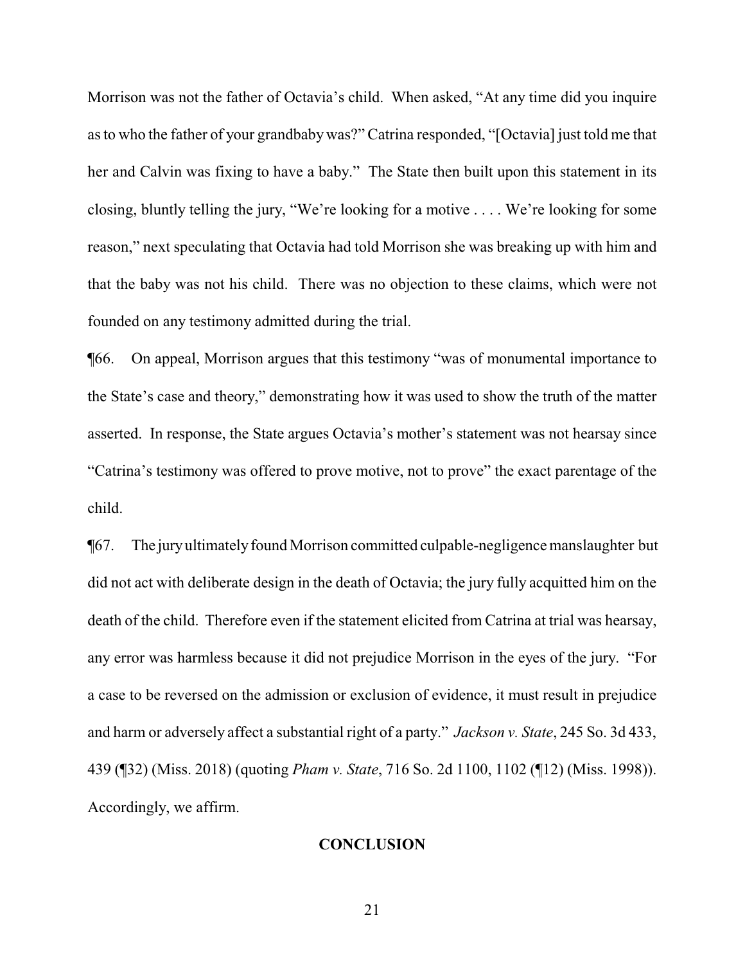Morrison was not the father of Octavia's child. When asked, "At any time did you inquire as to who the father of your grandbaby was?" Catrina responded, "[Octavia] just told me that her and Calvin was fixing to have a baby." The State then built upon this statement in its closing, bluntly telling the jury, "We're looking for a motive . . . . We're looking for some reason," next speculating that Octavia had told Morrison she was breaking up with him and that the baby was not his child. There was no objection to these claims, which were not founded on any testimony admitted during the trial.

¶66. On appeal, Morrison argues that this testimony "was of monumental importance to the State's case and theory," demonstrating how it was used to show the truth of the matter asserted. In response, the State argues Octavia's mother's statement was not hearsay since "Catrina's testimony was offered to prove motive, not to prove" the exact parentage of the child.

¶67. The juryultimatelyfound Morrison committed culpable-negligence manslaughter but did not act with deliberate design in the death of Octavia; the jury fully acquitted him on the death of the child. Therefore even if the statement elicited from Catrina at trial was hearsay, any error was harmless because it did not prejudice Morrison in the eyes of the jury. "For a case to be reversed on the admission or exclusion of evidence, it must result in prejudice and harm or adversely affect a substantial right of a party." *Jackson v. State*, 245 So. 3d 433, 439 (¶32) (Miss. 2018) (quoting *Pham v. State*, 716 So. 2d 1100, 1102 (¶12) (Miss. 1998)). Accordingly, we affirm.

## **CONCLUSION**